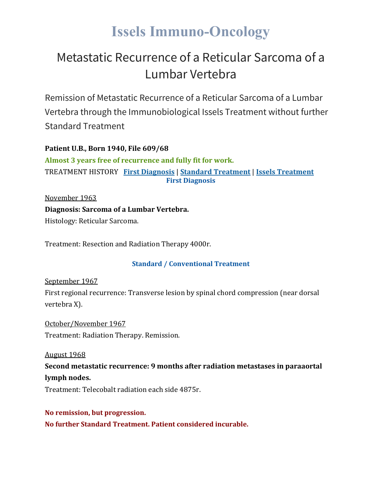## **Issels Immuno-Oncology**

## Metastatic Recurrence of a Reticular Sarcoma of a Lumbar Vertebra

Remission of Metastatic Recurrence of a Reticular Sarcoma of a Lumbar Vertebra through the Immunobiological Issels Treatment without further Standard Treatment

**Patient U.B., Born 1940, File 609/68 Almost 3 years free of recurrence and fully fit for work.** TREATMENT HISTORY **First [Diagnosis](https://issels.com/cancer-cases/sarcoma-4-metastatic-recurrence-of-reticular-sarcoma-of-lumbar-vertebra/#First)** | **Standard [Treatment](https://issels.com/cancer-cases/sarcoma-4-metastatic-recurrence-of-reticular-sarcoma-of-lumbar-vertebra/#Standard)** | **Issels [Treatment](https://issels.com/cancer-cases/sarcoma-4-metastatic-recurrence-of-reticular-sarcoma-of-lumbar-vertebra/#Issels)**

**First Diagnosis**

November 1963 **Diagnosis: Sarcoma of a Lumbar Vertebra.** Histology: Reticular Sarcoma.

Treatment: Resection and Radiation Therapy 4000r.

## **Standard / Conventional Treatment**

September 1967

First regional recurrence: Transverse lesion by spinal chord compression (near dorsal vertebra X).

October/November 1967 Treatment: Radiation Therapy. Remission.

August 1968

**Second metastatic recurrence: 9 months after radiation metastases in paraaortal lymph nodes.**

Treatment: Telecobalt radiation each side 4875r.

**No remission, but progression. No further Standard Treatment. Patient considered incurable.**